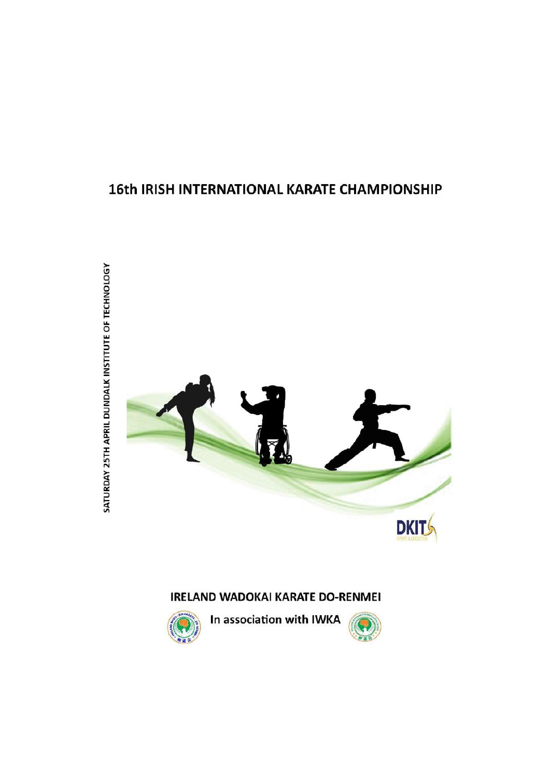# 16th IRISH INTERNATIONAL KARATE CHAMPIONSHIP



# **IRELAND WADOKAI KARATE DO-RENMEI**



In association with IWKA



SATURDAY 25TH APRIL DUNDALK INSTITUTE OF TECHNOLOGY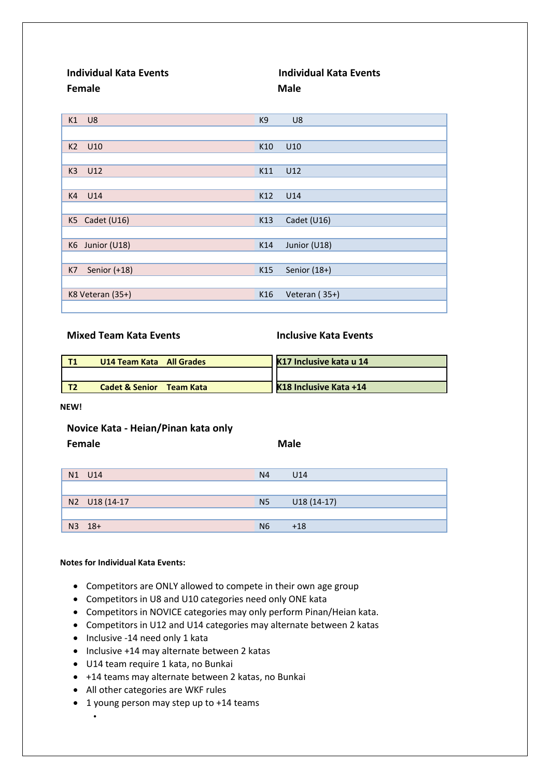**Individual Kata Events Individual Kata Events Female Male** 

| K1             | U8               | K9  | U <sub>8</sub> |
|----------------|------------------|-----|----------------|
|                |                  |     |                |
| K <sub>2</sub> | U10              | K10 | U10            |
|                |                  |     |                |
| K <sub>3</sub> | U12              | K11 | U12            |
|                |                  |     |                |
| K4             | U14              | K12 | U14            |
|                |                  |     |                |
| K5             | Cadet (U16)      | K13 | Cadet (U16)    |
|                |                  |     |                |
|                | K6 Junior (U18)  | K14 | Junior (U18)   |
|                |                  |     |                |
| K7             | Senior (+18)     | K15 | Senior (18+)   |
|                |                  |     |                |
|                | K8 Veteran (35+) | K16 | Veteran (35+)  |
|                |                  |     |                |

# **Mixed Team Kata Events Inclusive Kata Events**

| U14 Team Kata All Grades               | K17 Inclusive kata u 14 |
|----------------------------------------|-------------------------|
|                                        |                         |
| <b>Cadet &amp; Senior</b><br>Team Kata | K18 Inclusive Kata +14  |

**NEW!**

# **Novice Kata - Heian/Pinan kata only**

**Female Male**

| N1 U14        | N <sub>4</sub> | U14          |
|---------------|----------------|--------------|
|               |                |              |
| N2 U18 (14-17 | N <sub>5</sub> | $U18(14-17)$ |
|               |                |              |
| N3 18+        | N <sub>6</sub> | $+18$        |

# **Notes for Individual Kata Events:**

•

- Competitors are ONLY allowed to compete in their own age group
- Competitors in U8 and U10 categories need only ONE kata
- Competitors in NOVICE categories may only perform Pinan/Heian kata.
- Competitors in U12 and U14 categories may alternate between 2 katas
- Inclusive -14 need only 1 kata
- Inclusive +14 may alternate between 2 katas
- U14 team require 1 kata, no Bunkai
- +14 teams may alternate between 2 katas, no Bunkai
- All other categories are WKF rules
- 1 young person may step up to +14 teams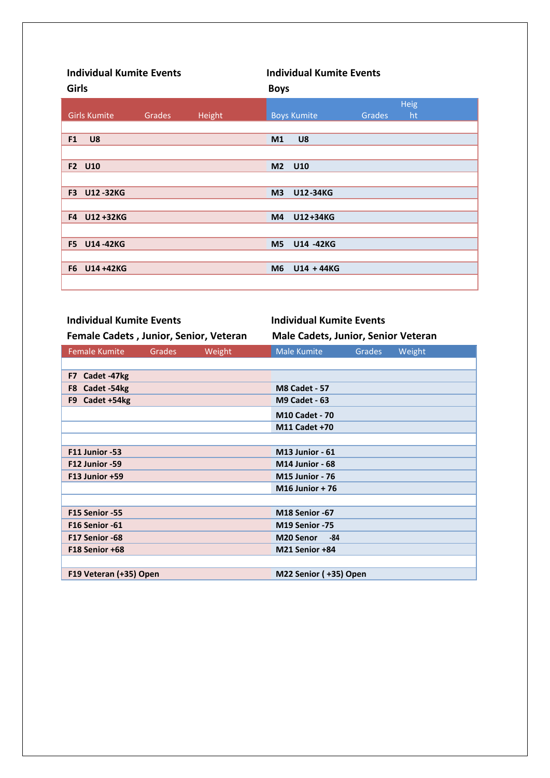| <b>Individual Kumite Events</b><br><b>Girls</b> |        |        | <b>Individual Kumite Events</b><br><b>Boys</b> |        |             |  |
|-------------------------------------------------|--------|--------|------------------------------------------------|--------|-------------|--|
|                                                 |        |        |                                                |        | <b>Heig</b> |  |
| <b>Girls Kumite</b>                             | Grades | Height | <b>Boys Kumite</b>                             | Grades | ht          |  |
|                                                 |        |        |                                                |        |             |  |
| F <sub>1</sub><br>U8                            |        |        | U8<br>M <sub>1</sub>                           |        |             |  |
|                                                 |        |        |                                                |        |             |  |
| F2 U10                                          |        |        | M <sub>2</sub><br>U10                          |        |             |  |
|                                                 |        |        |                                                |        |             |  |
| F <sub>3</sub><br><b>U12-32KG</b>               |        |        | M <sub>3</sub><br>U12-34KG                     |        |             |  |
|                                                 |        |        |                                                |        |             |  |
| U12+32KG<br>F4                                  |        |        | U12+34KG<br>M4                                 |        |             |  |
|                                                 |        |        |                                                |        |             |  |
| <b>U14-42KG</b><br>F <sub>5</sub>               |        |        | M <sub>5</sub><br>U14 -42KG                    |        |             |  |
|                                                 |        |        |                                                |        |             |  |
| U14 +42KG<br>F <sub>6</sub>                     |        |        | $U14 + 44KG$<br>M <sub>6</sub>                 |        |             |  |
|                                                 |        |        |                                                |        |             |  |

| <b>Individual Kumite Events</b>        |               |        | <b>Individual Kumite Events</b>            |               |        |  |
|----------------------------------------|---------------|--------|--------------------------------------------|---------------|--------|--|
| Female Cadets, Junior, Senior, Veteran |               |        | <b>Male Cadets, Junior, Senior Veteran</b> |               |        |  |
| <b>Female Kumite</b>                   | <b>Grades</b> | Weight | <b>Male Kumite</b>                         | <b>Grades</b> | Weight |  |
|                                        |               |        |                                            |               |        |  |
| Cadet -47kg<br>F7                      |               |        |                                            |               |        |  |
| Cadet -54kg<br>F8                      |               |        | <b>M8 Cadet - 57</b>                       |               |        |  |
| Cadet +54kg<br>F9                      |               |        | <b>M9 Cadet - 63</b>                       |               |        |  |
|                                        |               |        | <b>M10 Cadet - 70</b>                      |               |        |  |
|                                        |               |        | M11 Cadet +70                              |               |        |  |
|                                        |               |        |                                            |               |        |  |
| F11 Junior -53                         |               |        | <b>M13 Junior - 61</b>                     |               |        |  |
| F12 Junior -59                         |               |        | <b>M14 Junior - 68</b>                     |               |        |  |
| F13 Junior +59                         |               |        | <b>M15 Junior - 76</b>                     |               |        |  |
|                                        |               |        | <b>M16 Junior + 76</b>                     |               |        |  |
|                                        |               |        |                                            |               |        |  |
| F15 Senior -55                         |               |        | M18 Senior -67                             |               |        |  |
| F16 Senior -61                         |               |        | M19 Senior -75                             |               |        |  |
| F17 Senior -68                         |               |        | <b>M20 Senor</b><br>-84                    |               |        |  |
| F18 Senior +68                         |               |        | M21 Senior +84                             |               |        |  |
|                                        |               |        |                                            |               |        |  |
| F19 Veteran (+35) Open                 |               |        | M22 Senior (+35) Open                      |               |        |  |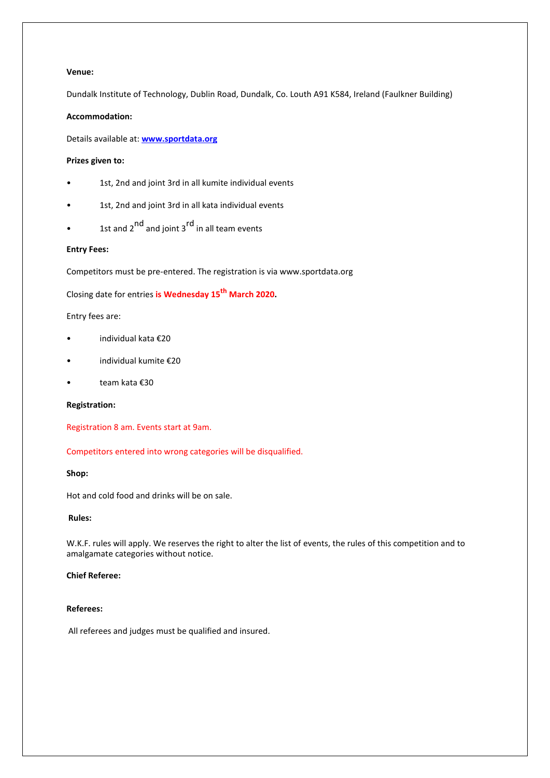# **Venue:**

Dundalk Institute of Technology, Dublin Road, Dundalk, Co. Louth A91 K584, Ireland (Faulkner Building)

# **Accommodation:**

Details available at: **[www.sportdata.org](http://www.sportdata.org/)**

## **Prizes given to:**

- 1st, 2nd and joint 3rd in all kumite individual events
- 1st, 2nd and joint 3rd in all kata individual events
- 1st and  $2^{nd}$  and joint  $3^{rd}$  in all team events

# **Entry Fees:**

Competitors must be pre-entered. The registration is via www.sportdata.org

Closing date for entries **is Wednesday 15th March 2020.**

Entry fees are:

- individual kata €20
- individual kumite €20
- team kata €30

# **Registration:**

Registration 8 am. Events start at 9am.

Competitors entered into wrong categories will be disqualified.

# **Shop:**

Hot and cold food and drinks will be on sale.

#### **Rules:**

W.K.F. rules will apply. We reserves the right to alter the list of events, the rules of this competition and to amalgamate categories without notice.

# **Chief Referee:**

#### **Referees:**

All referees and judges must be qualified and insured.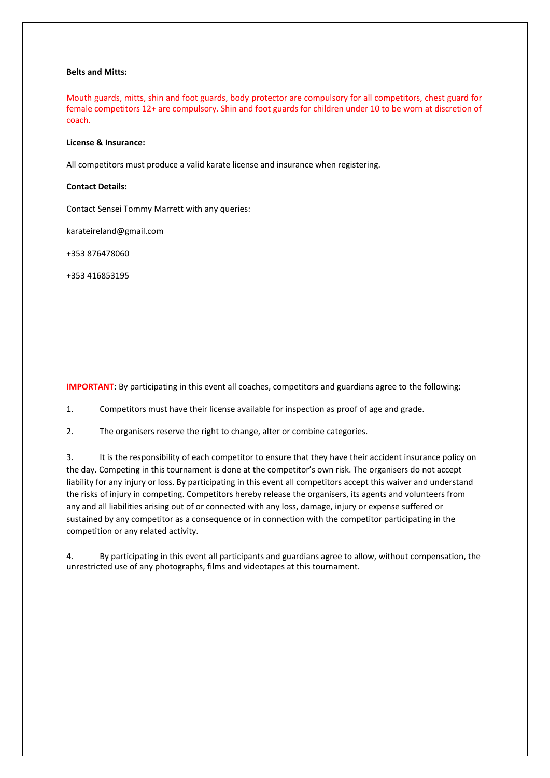## **Belts and Mitts:**

Mouth guards, mitts, shin and foot guards, body protector are compulsory for all competitors, chest guard for female competitors 12+ are compulsory. Shin and foot guards for children under 10 to be worn at discretion of coach.

#### **License & Insurance:**

All competitors must produce a valid karate license and insurance when registering.

## **Contact Details:**

Contact Sensei Tommy Marrett with any queries:

karateireland@gmail.com

+353 876478060

+353 416853195

**IMPORTANT**: By participating in this event all coaches, competitors and guardians agree to the following:

1. Competitors must have their license available for inspection as proof of age and grade.

2. The organisers reserve the right to change, alter or combine categories.

3. It is the responsibility of each competitor to ensure that they have their accident insurance policy on the day. Competing in this tournament is done at the competitor's own risk. The organisers do not accept liability for any injury or loss. By participating in this event all competitors accept this waiver and understand the risks of injury in competing. Competitors hereby release the organisers, its agents and volunteers from any and all liabilities arising out of or connected with any loss, damage, injury or expense suffered or sustained by any competitor as a consequence or in connection with the competitor participating in the competition or any related activity.

4. By participating in this event all participants and guardians agree to allow, without compensation, the unrestricted use of any photographs, films and videotapes at this tournament.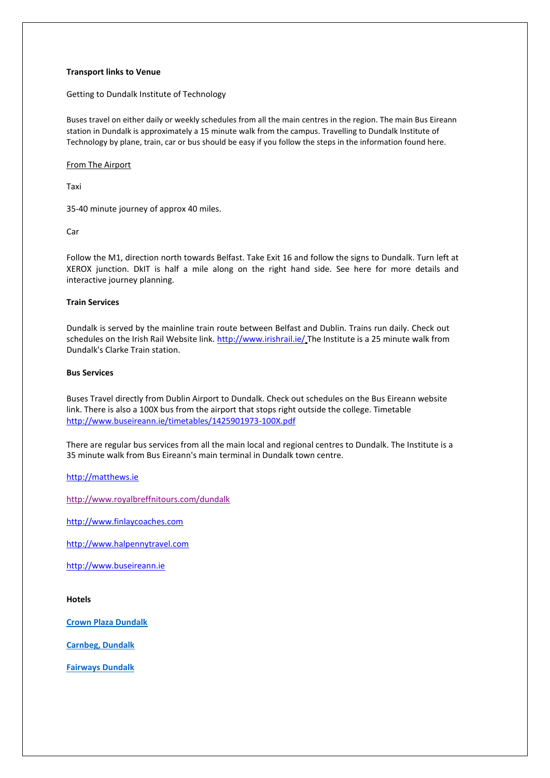## **Transport links to Venue**

Getting to Dundalk Institute of Technology

Buses travel on either daily or weekly schedules from all the main centres in the region. The main Bus Eireann station in Dundalk is approximately a 15 minute walk from the campus. Travelling to Dundalk Institute of Technology by plane, train, car or bus should be easy if you follow the steps in the information found here.

## From The Airport

Taxi

35-40 minute journey of approx 40 miles.

**Car** 

Follow the M1, direction north towards Belfast. Take Exit 16 and follow the signs to Dundalk. Turn left at XEROX junction. DkIT is half a mile along on the right hand side. See here for more details and interactive journey planning.

# **Train Services**

Dundalk is served by the mainline train route between Belfast and Dublin. Trains run daily. Check out schedules on the Irish Rail Website link.<http://www.irishrail.ie/> The Institute is a 25 minute walk from Dundalk's Clarke Train station.

#### **Bus Services**

Buses Travel directly from Dublin Airport to Dundalk. Check out schedules on the Bus Eireann website link. There is also a 100X bus from the airport that stops right outside the college. Timetable <http://www.buseireann.ie/timetables/1425901973-100X.pdf>

There are regular bus services from all the main local and regional centres to Dundalk. The Institute is a 35 minute walk from Bus Eireann's main terminal in Dundalk town centre.

[http://matthews.ie](http://matthews.ie/)

<http://www.royalbreffnitours.com/dundalk>

[http://www.finlaycoaches.com](http://www.finlaycoaches.com/)

[http://www.halpennytravel.com](http://www.halpennytravel.com/)

[http://www.buseireann.ie](http://www.buseireann.ie/)

**Hotels**

**[Crown Plaza Dundalk](https://www.crowneplaza.com/hotels/gb/en/dundalk/dbldd/hoteldetail?fromRedirect=true&qSrt=sBR&qIta=99603195&icdv=99603195&glat=SEAR&qSlH=DBLDD&setPMCookies=true&qSHBrC=CP&qDest=Green%20Park,%20Inner%20Relief%20Road,%20Dundalk,%20County%20Louth,%20IE&dp=true&gclid=CjwKCAiA3uDwBRBFEiwA1VsajHlQEkMmg2oE6hMlggJF2WFAdVyHA40SV-grP0nP_hoRkBBBDYmblxoCGf4QAvD_BwE&cid=41478&srb_u=1)**

**[Carnbeg, Dundalk](https://www.carnbeghotel.ie/)**

**[Fairways Dundalk](https://www.fairwayshotel.ie/?gclid=CjwKCAiA3uDwBRBFEiwA1VsajOVqdZ8wCNUIvp3k5mQx-iwiXr3Box_-llRbNY_Il820xA5y3awDARoCpvkQAvD_BwE)**